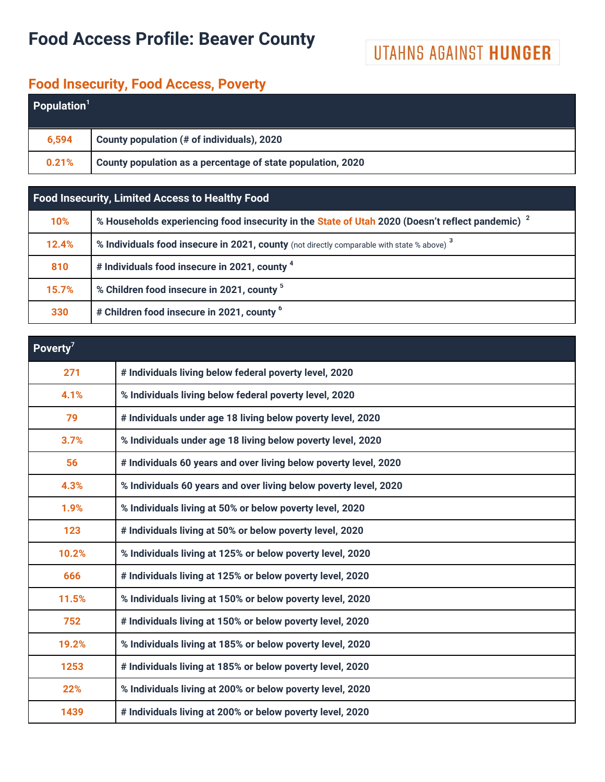# **Food Access Profile: Beaver County**

# UTAHNS AGAINST HUNGER

### **Food Insecurity, Food Access, Poverty**

| <b>Population</b> <sup>1</sup> |                                                             |  |  |  |
|--------------------------------|-------------------------------------------------------------|--|--|--|
| 6,594                          | County population (# of individuals), 2020                  |  |  |  |
| 0.21%                          | County population as a percentage of state population, 2020 |  |  |  |

### **Food Insecurity, Limited Access to Healthy Food**

| 10%   | % Households experiencing food insecurity in the State of Utah 2020 (Doesn't reflect pandemic) <sup>2</sup> |
|-------|-------------------------------------------------------------------------------------------------------------|
| 12.4% | % Individuals food insecure in 2021, county (not directly comparable with state % above) <sup>3</sup>       |
| 810   | # Individuals food insecure in 2021, county <sup>4</sup>                                                    |
| 15.7% | % Children food insecure in 2021, county 5                                                                  |
| 330   | # Children food insecure in 2021, county <sup>6</sup>                                                       |

| Poverty <sup>7</sup> |                                                                  |
|----------------------|------------------------------------------------------------------|
| 271                  | # Individuals living below federal poverty level, 2020           |
| 4.1%                 | % Individuals living below federal poverty level, 2020           |
| 79                   | # Individuals under age 18 living below poverty level, 2020      |
| 3.7%                 | % Individuals under age 18 living below poverty level, 2020      |
| 56                   | # Individuals 60 years and over living below poverty level, 2020 |
| 4.3%                 | % Individuals 60 years and over living below poverty level, 2020 |
| 1.9%                 | % Individuals living at 50% or below poverty level, 2020         |
| 123                  | # Individuals living at 50% or below poverty level, 2020         |
| 10.2%                | % Individuals living at 125% or below poverty level, 2020        |
| 666                  | # Individuals living at 125% or below poverty level, 2020        |
| 11.5%                | % Individuals living at 150% or below poverty level, 2020        |
| 752                  | # Individuals living at 150% or below poverty level, 2020        |
| 19.2%                | % Individuals living at 185% or below poverty level, 2020        |
| 1253                 | # Individuals living at 185% or below poverty level, 2020        |
| 22%                  | % Individuals living at 200% or below poverty level, 2020        |
| 1439                 | # Individuals living at 200% or below poverty level, 2020        |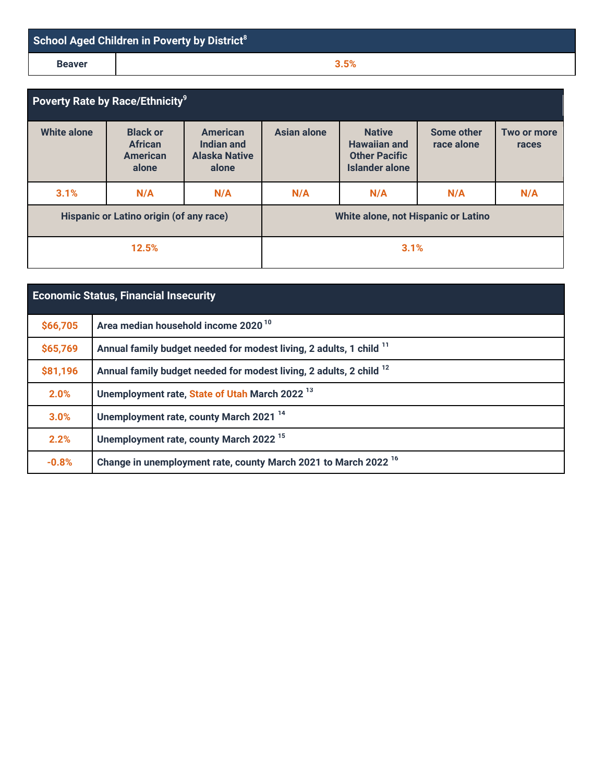| School Aged Children in Poverty by District <sup>8</sup> |      |  |  |
|----------------------------------------------------------|------|--|--|
| <b>Beaver</b>                                            | 3.5% |  |  |

| Poverty Rate by Race/Ethnicity <sup>9</sup> |                                                               |                                                                |                                     |                                                                                |                          |                      |
|---------------------------------------------|---------------------------------------------------------------|----------------------------------------------------------------|-------------------------------------|--------------------------------------------------------------------------------|--------------------------|----------------------|
| <b>White alone</b>                          | <b>Black or</b><br><b>African</b><br><b>American</b><br>alone | <b>American</b><br>Indian and<br><b>Alaska Native</b><br>alone | Asian alone                         | <b>Native</b><br><b>Hawaiian and</b><br><b>Other Pacific</b><br>Islander alone | Some other<br>race alone | Two or more<br>races |
| 3.1%                                        | N/A                                                           | N/A                                                            | N/A                                 | N/A                                                                            | N/A                      | N/A                  |
| Hispanic or Latino origin (of any race)     |                                                               |                                                                | White alone, not Hispanic or Latino |                                                                                |                          |                      |
| 12.5%                                       |                                                               |                                                                |                                     | 3.1%                                                                           |                          |                      |

| <b>Economic Status, Financial Insecurity</b> |                                                                                |  |  |  |
|----------------------------------------------|--------------------------------------------------------------------------------|--|--|--|
| \$66,705                                     | Area median household income 2020 <sup>10</sup>                                |  |  |  |
| \$65,769                                     | Annual family budget needed for modest living, 2 adults, 1 child <sup>11</sup> |  |  |  |
| \$81,196                                     | Annual family budget needed for modest living, 2 adults, 2 child <sup>12</sup> |  |  |  |
| 2.0%                                         | Unemployment rate, State of Utah March 2022 <sup>13</sup>                      |  |  |  |
| 3.0%                                         | Unemployment rate, county March 2021 <sup>14</sup>                             |  |  |  |
| 2.2%                                         | Unemployment rate, county March 2022 <sup>15</sup>                             |  |  |  |
| $-0.8%$                                      | Change in unemployment rate, county March 2021 to March 2022 <sup>16</sup>     |  |  |  |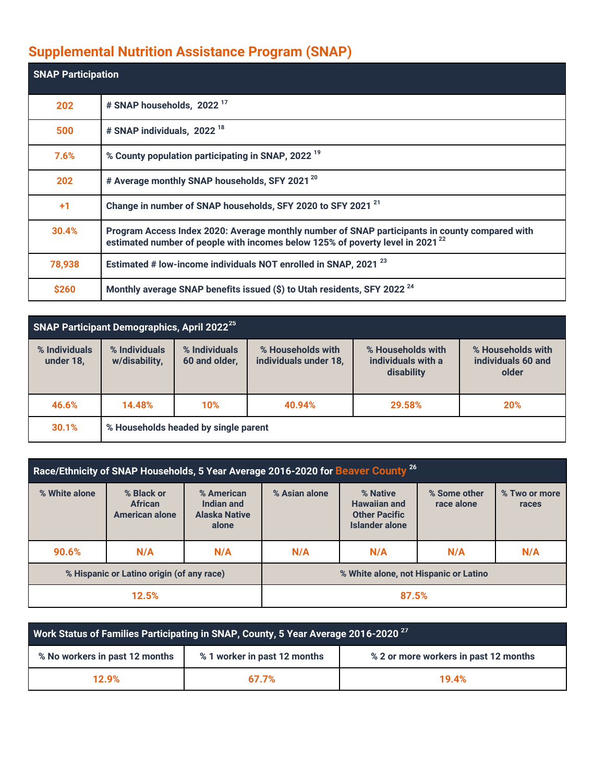## **Supplemental Nutrition Assistance Program (SNAP)**

| <b>SNAP Participation</b> |                                                                                                                                                                                             |
|---------------------------|---------------------------------------------------------------------------------------------------------------------------------------------------------------------------------------------|
| 202                       | # SNAP households, 2022 <sup>17</sup>                                                                                                                                                       |
| 500                       | # SNAP individuals, 2022 <sup>18</sup>                                                                                                                                                      |
| 7.6%                      | % County population participating in SNAP, 2022 <sup>19</sup>                                                                                                                               |
| 202                       | # Average monthly SNAP households, SFY 2021 <sup>20</sup>                                                                                                                                   |
| $+1$                      | Change in number of SNAP households, SFY 2020 to SFY 2021 <sup>21</sup>                                                                                                                     |
| 30.4%                     | Program Access Index 2020: Average monthly number of SNAP participants in county compared with<br>estimated number of people with incomes below 125% of poverty level in 2021 <sup>22</sup> |
| 78,938                    | Estimated # low-income individuals NOT enrolled in SNAP, 2021 <sup>23</sup>                                                                                                                 |
| \$260                     | Monthly average SNAP benefits issued (\$) to Utah residents, SFY 2022 <sup>24</sup>                                                                                                         |

| SNAP Participant Demographics, April 2022 <sup>25</sup> |                                      |                                |                                            |                                                       |                                                  |  |
|---------------------------------------------------------|--------------------------------------|--------------------------------|--------------------------------------------|-------------------------------------------------------|--------------------------------------------------|--|
| % Individuals<br>under 18,                              | % Individuals<br>w/disability,       | % Individuals<br>60 and older, | % Households with<br>individuals under 18, | % Households with<br>individuals with a<br>disability | % Households with<br>individuals 60 and<br>older |  |
| 46.6%                                                   | 14.48%                               | 10%                            | 40.94%                                     | 29.58%                                                | 20%                                              |  |
| 30.1%                                                   | % Households headed by single parent |                                |                                            |                                                       |                                                  |  |

| Race/Ethnicity of SNAP Households, 5 Year Average 2016-2020 for Beaver County <sup>26</sup> |                                                       |                                                           |               |                                                                           |                            |                        |
|---------------------------------------------------------------------------------------------|-------------------------------------------------------|-----------------------------------------------------------|---------------|---------------------------------------------------------------------------|----------------------------|------------------------|
| % White alone                                                                               | % Black or<br><b>African</b><br><b>American alone</b> | % American<br>Indian and<br><b>Alaska Native</b><br>alone | % Asian alone | % Native<br><b>Hawaiian and</b><br><b>Other Pacific</b><br>Islander alone | % Some other<br>race alone | % Two or more<br>races |
| 90.6%                                                                                       | N/A                                                   | N/A                                                       | N/A           | N/A                                                                       | N/A                        | N/A                    |
| % Hispanic or Latino origin (of any race)                                                   |                                                       | % White alone, not Hispanic or Latino                     |               |                                                                           |                            |                        |
| 12.5%                                                                                       |                                                       |                                                           | 87.5%         |                                                                           |                            |                        |

| Work Status of Families Participating in SNAP, County, 5 Year Average 2016-2020 <sup>27</sup> |                              |                                       |  |  |  |
|-----------------------------------------------------------------------------------------------|------------------------------|---------------------------------------|--|--|--|
| % No workers in past 12 months                                                                | % 1 worker in past 12 months | % 2 or more workers in past 12 months |  |  |  |
| 12.9%<br>67.7%                                                                                |                              | 19.4%                                 |  |  |  |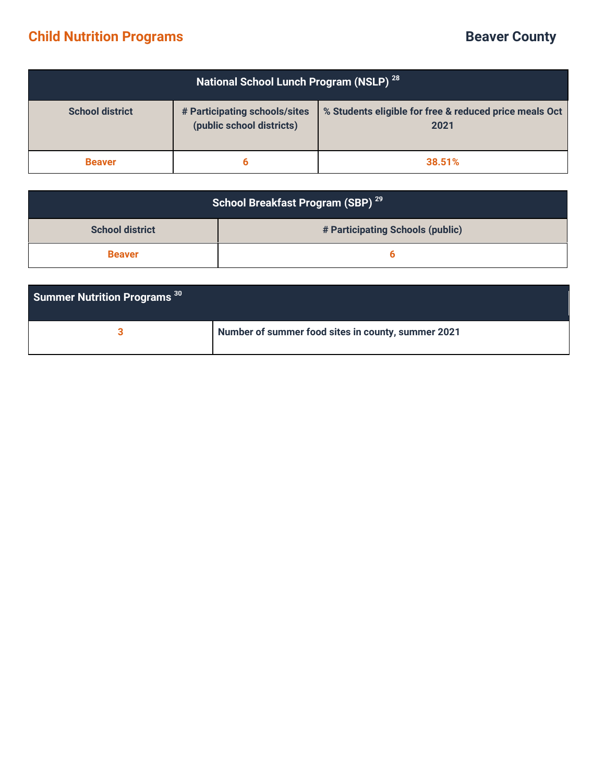## **Child Nutrition Programs <b>Beaver** County

| National School Lunch Program (NSLP) <sup>28</sup> |                                                            |                                                                |  |  |
|----------------------------------------------------|------------------------------------------------------------|----------------------------------------------------------------|--|--|
| <b>School district</b>                             | # Participating schools/sites<br>(public school districts) | % Students eligible for free & reduced price meals Oct<br>2021 |  |  |
| <b>Beaver</b>                                      | 6                                                          | 38.51%                                                         |  |  |

| School Breakfast Program (SBP) <sup>29</sup> |                                  |  |  |
|----------------------------------------------|----------------------------------|--|--|
| <b>School district</b>                       | # Participating Schools (public) |  |  |
| <b>Beaver</b>                                |                                  |  |  |

| <b>Summer Nutrition Programs 30</b> |                                                    |
|-------------------------------------|----------------------------------------------------|
|                                     | Number of summer food sites in county, summer 2021 |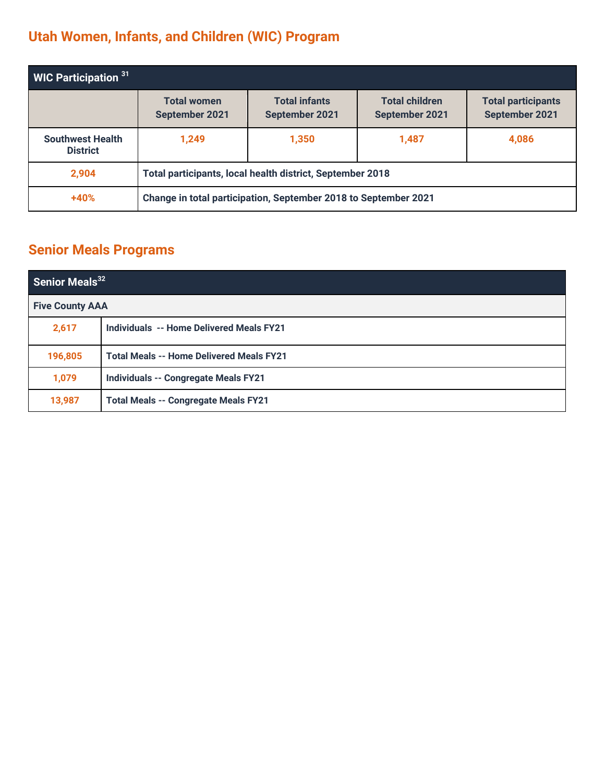# **Utah Women, Infants, and Children (WIC) Program**

| <b>WIC Participation <math>31</math></b>   |                                                                 |                                        |                                         |                                             |
|--------------------------------------------|-----------------------------------------------------------------|----------------------------------------|-----------------------------------------|---------------------------------------------|
|                                            | <b>Total women</b><br>September 2021                            | <b>Total infants</b><br>September 2021 | <b>Total children</b><br>September 2021 | <b>Total participants</b><br>September 2021 |
| <b>Southwest Health</b><br><b>District</b> | 1,249                                                           | 1,350                                  | 1,487                                   | 4,086                                       |
| 2,904                                      | Total participants, local health district, September 2018       |                                        |                                         |                                             |
| $+40%$                                     | Change in total participation, September 2018 to September 2021 |                                        |                                         |                                             |

## **Senior Meals Programs**

| Senior Meals <sup>32</sup> |                                                 |  |
|----------------------------|-------------------------------------------------|--|
| <b>Five County AAA</b>     |                                                 |  |
| 2,617                      | <b>Individuals -- Home Delivered Meals FY21</b> |  |
| 196,805                    | <b>Total Meals -- Home Delivered Meals FY21</b> |  |
| 1,079                      | <b>Individuals -- Congregate Meals FY21</b>     |  |
| 13,987                     | <b>Total Meals -- Congregate Meals FY21</b>     |  |